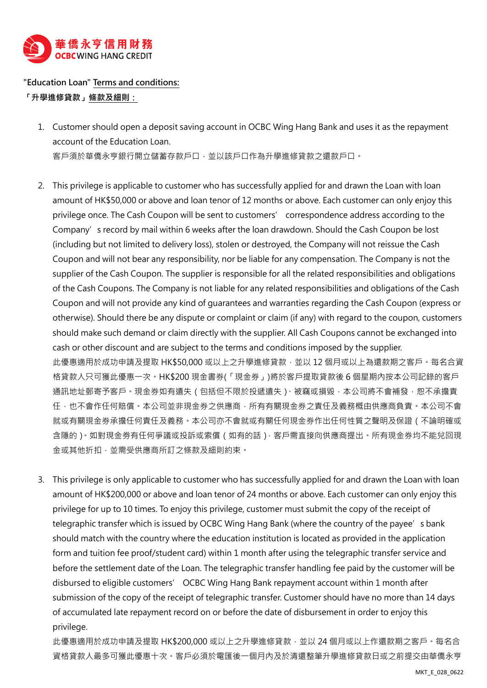

## **"Education Loan" Terms and conditions:**

**「升學進修貸款」條款及細則:**

- 1. Customer should open a deposit saving account in OCBC Wing Hang Bank and uses it as the repayment account of the Education Loan. 客戶須於華僑永亨銀行開立儲蓄存款戶口,並以該戶口作為升學進修貸款之還款戶口。
- 2. This privilege is applicable to customer who has successfully applied for and drawn the Loan with loan amount of HK\$50,000 or above and loan tenor of 12 months or above. Each customer can only enjoy this privilege once. The Cash Coupon will be sent to customers' correspondence address according to the Company's record by mail within 6 weeks after the loan drawdown. Should the Cash Coupon be lost (including but not limited to delivery loss), stolen or destroyed, the Company will not reissue the Cash Coupon and will not bear any responsibility, nor be liable for any compensation. The Company is not the supplier of the Cash Coupon. The supplier is responsible for all the related responsibilities and obligations of the Cash Coupons. The Company is not liable for any related responsibilities and obligations of the Cash Coupon and will not provide any kind of guarantees and warranties regarding the Cash Coupon (express or otherwise). Should there be any dispute or complaint or claim (if any) with regard to the coupon, customers should make such demand or claim directly with the supplier. All Cash Coupons cannot be exchanged into cash or other discount and are subject to the terms and conditions imposed by the supplier. 此優惠適用於成功申請及提取 HK\$50,000 或以上之升學進修貸款, 並以 12 個月或以上為還款期之客戶。每名合資 格貸款人只可獲此優惠一次。HK\$200 現金書券(「現金券」)將於客戶提取貸款後 6 個星期內按本公司記錄的客戶 通訊地址郵寄予客戶。現金券如有遺失(包括但不限於投遞遺失)、被竊或損毀,本公司將不會補發,恕不承擔責 任,也不會作任何賠償。本公司並非現金券之供應商,所有有關現金券之責任及義務概由供應商負責。本公司不會 就或有關現金券承擔任何責任及義務。本公司亦不會就或有關任何現金券作出任何性質之聲明及保證(不論明確或 含隱的)。如對現金劵有任何爭議或投訴或索償(如有的話),客戶需直接向供應商提出。所有現金券均不能兌回現 金或其他折扣,並需受供應商所訂之條款及細則約束。
- 3. This privilege is only applicable to customer who has successfully applied for and drawn the Loan with loan amount of HK\$200,000 or above and loan tenor of 24 months or above. Each customer can only enjoy this privilege for up to 10 times. To enjoy this privilege, customer must submit the copy of the receipt of telegraphic transfer which is issued by OCBC Wing Hang Bank (where the country of the payee's bank should match with the country where the education institution is located as provided in the application form and tuition fee proof/student card) within 1 month after using the telegraphic transfer service and before the settlement date of the Loan. The telegraphic transfer handling fee paid by the customer will be disbursed to eligible customers' OCBC Wing Hang Bank repayment account within 1 month after submission of the copy of the receipt of telegraphic transfer. Customer should have no more than 14 days of accumulated late repayment record on or before the date of disbursement in order to enjoy this privilege.

此優惠適用於成功申請及提取 HK\$200,000 或以上之升學進修貸款,並以 24 個月或以上作還款期之客戶。每名合 資格貸款人最多可獲此優惠十次。客戶必須於電匯後一個月內及於清還整筆升學進修貸款日或之前提交由華僑永亨